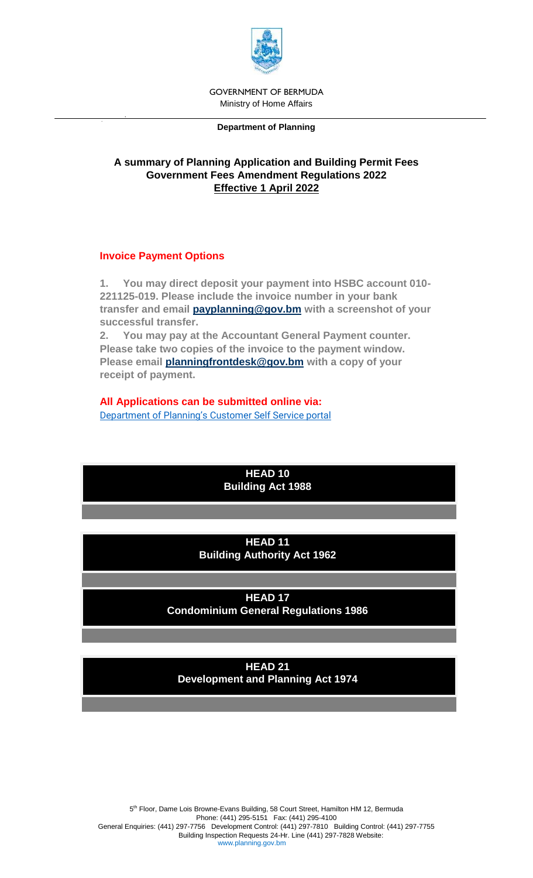

GOVERNMENT OF BERMUDA Ministry of Home Affairs

#### **Department of Planning**

## **A summary of Planning Application and Building Permit Fees Government Fees Amendment Regulations 2022 Effective 1 April 2022**

#### **Invoice Payment Options**

**1. You may direct deposit your payment into HSBC account 010- 221125-019. Please include the invoice number in your bank transfer and email [payplanning@gov.bm](mailto:payplanning@gov.bm) with a screenshot of your successful transfer.**

**2. You may pay at the Accountant General Payment counter. Please take two copies of the invoice to the payment window. Please email [planningfrontdesk@gov.bm](mailto:planningfrontdesk@gov.bm) with a copy of your receipt of payment.**

# **All Applications can be submitted online via:**

Department of Planning's [Customer Self Service portal](https://planningenergov.gov.bm/EnerGov_Prod/SelfService#/applicationAssistant?sectionName=All&moduleId=3&categoryName=All&showTemplates=false)

**HEAD 10 Building Act 1988** 

#### **HEAD 11 Building Authority Act 1962**

**HEAD 17 Condominium General Regulations 1986**

**HEAD 21 Development and Planning Act 1974**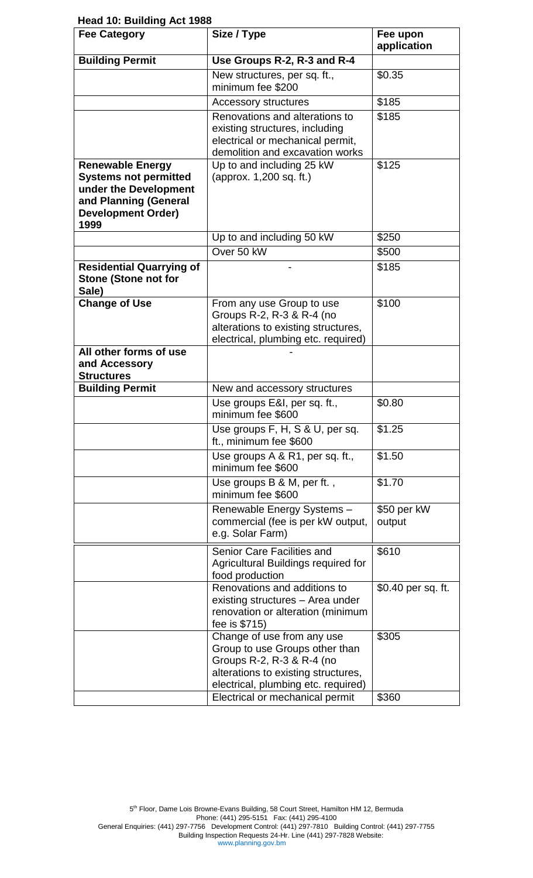**Head 10: Building Act 1988** 

| <b>Fee Category</b>                                                                                                                            | Size / Type                                                                                                                                                             | Fee upon<br>application |
|------------------------------------------------------------------------------------------------------------------------------------------------|-------------------------------------------------------------------------------------------------------------------------------------------------------------------------|-------------------------|
| <b>Building Permit</b>                                                                                                                         | Use Groups R-2, R-3 and R-4                                                                                                                                             |                         |
|                                                                                                                                                | New structures, per sq. ft.,                                                                                                                                            | \$0.35                  |
|                                                                                                                                                | minimum fee \$200                                                                                                                                                       |                         |
|                                                                                                                                                | <b>Accessory structures</b>                                                                                                                                             | \$185                   |
|                                                                                                                                                | Renovations and alterations to<br>existing structures, including<br>electrical or mechanical permit,                                                                    | \$185                   |
|                                                                                                                                                | demolition and excavation works                                                                                                                                         |                         |
| <b>Renewable Energy</b><br><b>Systems not permitted</b><br>under the Development<br>and Planning (General<br><b>Development Order)</b><br>1999 | Up to and including 25 kW<br>(approx. 1,200 sq. ft.)                                                                                                                    | \$125                   |
|                                                                                                                                                | Up to and including 50 kW                                                                                                                                               | \$250                   |
|                                                                                                                                                | Over 50 kW                                                                                                                                                              | \$500                   |
| <b>Residential Quarrying of</b><br><b>Stone (Stone not for</b><br>Sale)                                                                        |                                                                                                                                                                         | \$185                   |
| <b>Change of Use</b>                                                                                                                           | From any use Group to use<br>Groups R-2, R-3 & R-4 (no<br>alterations to existing structures,<br>electrical, plumbing etc. required)                                    | \$100                   |
| All other forms of use<br>and Accessory<br><b>Structures</b>                                                                                   |                                                                                                                                                                         |                         |
| <b>Building Permit</b>                                                                                                                         | New and accessory structures                                                                                                                                            |                         |
|                                                                                                                                                | Use groups E&I, per sq. ft.,<br>minimum fee \$600                                                                                                                       | \$0.80                  |
|                                                                                                                                                | Use groups F, H, S & U, per sq.<br>ft., minimum fee \$600                                                                                                               | \$1.25                  |
|                                                                                                                                                | Use groups A & R1, per sq. ft.,<br>minimum fee \$600                                                                                                                    | \$1.50                  |
|                                                                                                                                                | Use groups B & M, per ft.,<br>minimum fee \$600                                                                                                                         | \$1.70                  |
|                                                                                                                                                | Renewable Energy Systems -<br>commercial (fee is per kW output,<br>e.g. Solar Farm)                                                                                     | \$50 per kW<br>output   |
|                                                                                                                                                | Senior Care Facilities and<br>Agricultural Buildings required for<br>food production                                                                                    | \$610                   |
|                                                                                                                                                | Renovations and additions to<br>existing structures - Area under<br>renovation or alteration (minimum<br>fee is \$715)                                                  | \$0.40 per sq. ft.      |
|                                                                                                                                                | Change of use from any use<br>Group to use Groups other than<br>Groups R-2, R-3 & R-4 (no<br>alterations to existing structures,<br>electrical, plumbing etc. required) | \$305                   |
|                                                                                                                                                | Electrical or mechanical permit                                                                                                                                         | \$360                   |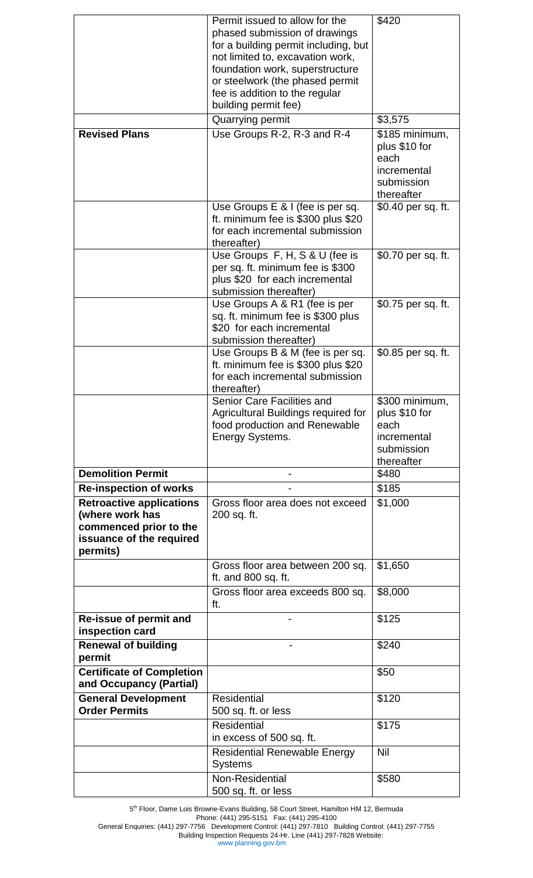|                                                                                                                      | Permit issued to allow for the<br>phased submission of drawings<br>for a building permit including, but<br>not limited to, excavation work,<br>foundation work, superstructure<br>or steelwork (the phased permit<br>fee is addition to the regular<br>building permit fee) | \$420                                                                              |
|----------------------------------------------------------------------------------------------------------------------|-----------------------------------------------------------------------------------------------------------------------------------------------------------------------------------------------------------------------------------------------------------------------------|------------------------------------------------------------------------------------|
|                                                                                                                      | Quarrying permit                                                                                                                                                                                                                                                            | \$3,575                                                                            |
| <b>Revised Plans</b>                                                                                                 | Use Groups R-2, R-3 and R-4                                                                                                                                                                                                                                                 | \$185 minimum,<br>plus \$10 for<br>each<br>incremental<br>submission<br>thereafter |
|                                                                                                                      | Use Groups E & I (fee is per sq.<br>ft. minimum fee is \$300 plus \$20<br>for each incremental submission<br>thereafter)                                                                                                                                                    | \$0.40 per sq. ft.                                                                 |
|                                                                                                                      | Use Groups F, H, S & U (fee is<br>per sq. ft. minimum fee is \$300<br>plus \$20 for each incremental<br>submission thereafter)                                                                                                                                              | \$0.70 per sq. ft.                                                                 |
|                                                                                                                      | Use Groups A & R1 (fee is per<br>sq. ft. minimum fee is \$300 plus<br>\$20 for each incremental<br>submission thereafter)                                                                                                                                                   | \$0.75 per sq. ft.                                                                 |
|                                                                                                                      | Use Groups B & M (fee is per sq.<br>ft. minimum fee is \$300 plus \$20<br>for each incremental submission<br>thereafter)                                                                                                                                                    | \$0.85 per sq. ft.                                                                 |
|                                                                                                                      | Senior Care Facilities and<br>Agricultural Buildings required for<br>food production and Renewable<br>Energy Systems.                                                                                                                                                       | \$300 minimum,<br>plus \$10 for<br>each<br>incremental<br>submission<br>thereafter |
| <b>Demolition Permit</b>                                                                                             |                                                                                                                                                                                                                                                                             | \$480                                                                              |
| <b>Re-inspection of works</b>                                                                                        |                                                                                                                                                                                                                                                                             | \$185                                                                              |
| <b>Retroactive applications</b><br>(where work has<br>commenced prior to the<br>issuance of the required<br>permits) | Gross floor area does not exceed<br>200 sq. ft.                                                                                                                                                                                                                             | \$1,000                                                                            |
|                                                                                                                      | Gross floor area between 200 sq.<br>ft. and 800 sq. ft.                                                                                                                                                                                                                     | \$1,650                                                                            |
|                                                                                                                      | Gross floor area exceeds 800 sq.<br>ft.                                                                                                                                                                                                                                     | \$8,000                                                                            |
| Re-issue of permit and<br>inspection card                                                                            |                                                                                                                                                                                                                                                                             | \$125                                                                              |
| <b>Renewal of building</b><br>permit                                                                                 |                                                                                                                                                                                                                                                                             | \$240                                                                              |
| <b>Certificate of Completion</b><br>and Occupancy (Partial)                                                          |                                                                                                                                                                                                                                                                             | \$50                                                                               |
| <b>General Development</b><br><b>Order Permits</b>                                                                   | <b>Residential</b><br>500 sq. ft. or less                                                                                                                                                                                                                                   | \$120                                                                              |
|                                                                                                                      | <b>Residential</b><br>in excess of 500 sq. ft.                                                                                                                                                                                                                              | \$175                                                                              |
|                                                                                                                      | <b>Residential Renewable Energy</b><br><b>Systems</b>                                                                                                                                                                                                                       | Nil                                                                                |
|                                                                                                                      | Non-Residential<br>500 sq. ft. or less                                                                                                                                                                                                                                      | \$580                                                                              |

5<sup>th</sup> Floor, Dame Lois Browne-Evans Building, 58 Court Street, Hamilton HM 12, Bermuda

www.planning.gov.bm

Phone: (441) 295-5151 Fax: (441) 295-4100 General Enquiries: (441) 297-7756 Development Control: (441) 297-7810 Building Control: (441) 297-7755 Building Inspection Requests 24-Hr. Line (441) 297-7828 Website: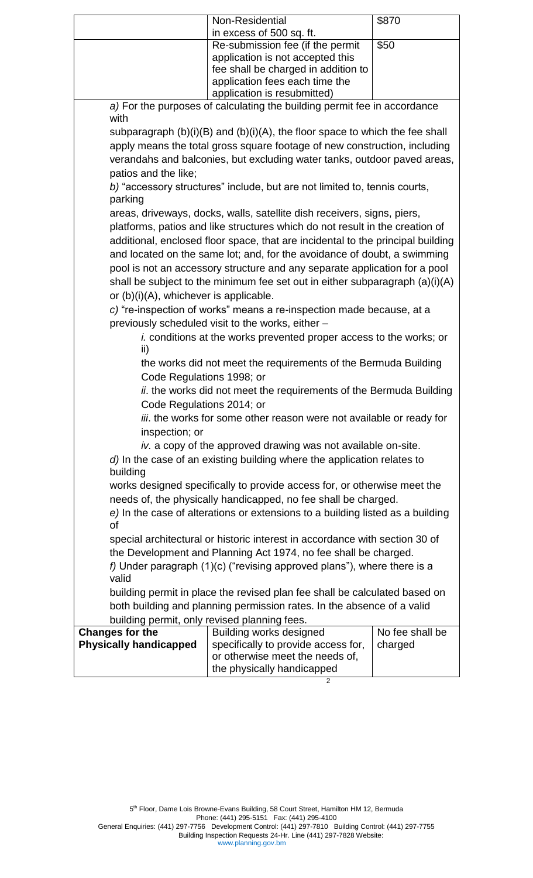|                                                                                     | Non-Residential                                                                   | \$870           |
|-------------------------------------------------------------------------------------|-----------------------------------------------------------------------------------|-----------------|
|                                                                                     | in excess of 500 sq. ft.                                                          |                 |
|                                                                                     | Re-submission fee (if the permit                                                  | \$50            |
|                                                                                     | application is not accepted this                                                  |                 |
|                                                                                     | fee shall be charged in addition to                                               |                 |
|                                                                                     | application fees each time the                                                    |                 |
|                                                                                     | application is resubmitted)                                                       |                 |
| with                                                                                | a) For the purposes of calculating the building permit fee in accordance          |                 |
|                                                                                     | subparagraph $(b)(i)(B)$ and $(b)(i)(A)$ , the floor space to which the fee shall |                 |
|                                                                                     | apply means the total gross square footage of new construction, including         |                 |
|                                                                                     | verandahs and balconies, but excluding water tanks, outdoor paved areas,          |                 |
|                                                                                     |                                                                                   |                 |
| patios and the like;                                                                |                                                                                   |                 |
| parking                                                                             | b) "accessory structures" include, but are not limited to, tennis courts,         |                 |
|                                                                                     | areas, driveways, docks, walls, satellite dish receivers, signs, piers,           |                 |
|                                                                                     | platforms, patios and like structures which do not result in the creation of      |                 |
|                                                                                     | additional, enclosed floor space, that are incidental to the principal building   |                 |
|                                                                                     | and located on the same lot; and, for the avoidance of doubt, a swimming          |                 |
|                                                                                     |                                                                                   |                 |
|                                                                                     | pool is not an accessory structure and any separate application for a pool        |                 |
|                                                                                     | shall be subject to the minimum fee set out in either subparagraph $(a)(i)(A)$    |                 |
| or $(b)(i)(A)$ , whichever is applicable.                                           |                                                                                   |                 |
|                                                                                     | c) "re-inspection of works" means a re-inspection made because, at a              |                 |
|                                                                                     | previously scheduled visit to the works, either -                                 |                 |
|                                                                                     | <i>i.</i> conditions at the works prevented proper access to the works; or        |                 |
| ii)                                                                                 |                                                                                   |                 |
|                                                                                     | the works did not meet the requirements of the Bermuda Building                   |                 |
| Code Regulations 1998; or                                                           |                                                                                   |                 |
|                                                                                     | ii. the works did not meet the requirements of the Bermuda Building               |                 |
| Code Regulations 2014; or                                                           |                                                                                   |                 |
|                                                                                     | iii. the works for some other reason were not available or ready for              |                 |
| inspection; or                                                                      |                                                                                   |                 |
| iv. a copy of the approved drawing was not available on-site.                       |                                                                                   |                 |
|                                                                                     |                                                                                   |                 |
| d) In the case of an existing building where the application relates to<br>building |                                                                                   |                 |
| works designed specifically to provide access for, or otherwise meet the            |                                                                                   |                 |
| needs of, the physically handicapped, no fee shall be charged.                      |                                                                                   |                 |
| e) In the case of alterations or extensions to a building listed as a building      |                                                                                   |                 |
| οf                                                                                  |                                                                                   |                 |
| special architectural or historic interest in accordance with section 30 of         |                                                                                   |                 |
| the Development and Planning Act 1974, no fee shall be charged.                     |                                                                                   |                 |
| f) Under paragraph (1)(c) ("revising approved plans"), where there is a             |                                                                                   |                 |
| valid                                                                               |                                                                                   |                 |
|                                                                                     | building permit in place the revised plan fee shall be calculated based on        |                 |
| both building and planning permission rates. In the absence of a valid              |                                                                                   |                 |
| building permit, only revised planning fees.                                        |                                                                                   |                 |
| <b>Changes for the</b>                                                              | Building works designed                                                           | No fee shall be |
| <b>Physically handicapped</b>                                                       | specifically to provide access for,                                               | charged         |
|                                                                                     | or otherwise meet the needs of,                                                   |                 |
|                                                                                     | the physically handicapped                                                        |                 |

2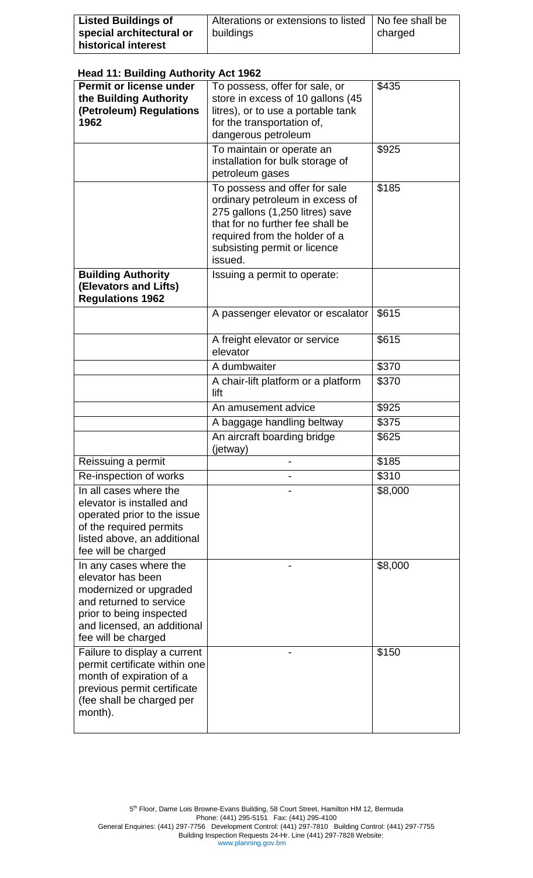| <b>Listed Buildings of</b> | Alterations or extensions to listed | No fee shall be |
|----------------------------|-------------------------------------|-----------------|
| special architectural or   | buildings                           | charged         |
| historical interest        |                                     |                 |

# **Head 11: Building Authority Act 1962**

| ricaa TT. Danamg Addionty Act 1902                                                                                                                                                 |                                                                                                                                                                                                                     |         |
|------------------------------------------------------------------------------------------------------------------------------------------------------------------------------------|---------------------------------------------------------------------------------------------------------------------------------------------------------------------------------------------------------------------|---------|
| Permit or license under<br>the Building Authority<br>(Petroleum) Regulations<br>1962                                                                                               | To possess, offer for sale, or<br>store in excess of 10 gallons (45<br>litres), or to use a portable tank<br>for the transportation of,<br>dangerous petroleum                                                      | \$435   |
|                                                                                                                                                                                    | To maintain or operate an<br>installation for bulk storage of<br>petroleum gases                                                                                                                                    | \$925   |
|                                                                                                                                                                                    | To possess and offer for sale<br>ordinary petroleum in excess of<br>275 gallons (1,250 litres) save<br>that for no further fee shall be<br>required from the holder of a<br>subsisting permit or licence<br>issued. | \$185   |
| <b>Building Authority</b><br>(Elevators and Lifts)<br><b>Regulations 1962</b>                                                                                                      | Issuing a permit to operate:                                                                                                                                                                                        |         |
|                                                                                                                                                                                    | A passenger elevator or escalator                                                                                                                                                                                   | \$615   |
|                                                                                                                                                                                    | A freight elevator or service<br>elevator                                                                                                                                                                           | \$615   |
|                                                                                                                                                                                    | A dumbwaiter                                                                                                                                                                                                        | \$370   |
|                                                                                                                                                                                    | A chair-lift platform or a platform<br>lift                                                                                                                                                                         | \$370   |
|                                                                                                                                                                                    | An amusement advice                                                                                                                                                                                                 | \$925   |
|                                                                                                                                                                                    | A baggage handling beltway                                                                                                                                                                                          | \$375   |
|                                                                                                                                                                                    | An aircraft boarding bridge<br>(jetway)                                                                                                                                                                             | \$625   |
| Reissuing a permit                                                                                                                                                                 |                                                                                                                                                                                                                     | \$185   |
| Re-inspection of works                                                                                                                                                             |                                                                                                                                                                                                                     | \$310   |
| In all cases where the<br>elevator is installed and<br>operated prior to the issue<br>of the required permits<br>listed above, an additional<br>fee will be charged                |                                                                                                                                                                                                                     | \$8,000 |
| In any cases where the<br>elevator has been<br>modernized or upgraded<br>and returned to service<br>prior to being inspected<br>and licensed, an additional<br>fee will be charged |                                                                                                                                                                                                                     | \$8,000 |
| Failure to display a current<br>permit certificate within one<br>month of expiration of a<br>previous permit certificate<br>(fee shall be charged per<br>month).                   |                                                                                                                                                                                                                     | \$150   |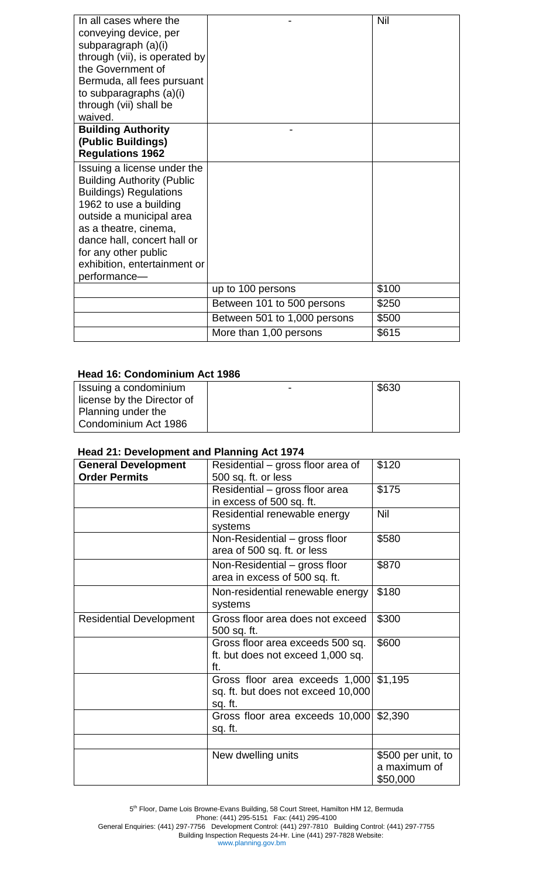| In all cases where the<br>conveying device, per<br>subparagraph (a)(i)<br>through (vii), is operated by<br>the Government of<br>Bermuda, all fees pursuant<br>to subparagraphs (a)(i)<br>through (vii) shall be<br>waived.<br><b>Building Authority</b>                                 |                              | Nil   |
|-----------------------------------------------------------------------------------------------------------------------------------------------------------------------------------------------------------------------------------------------------------------------------------------|------------------------------|-------|
| (Public Buildings)                                                                                                                                                                                                                                                                      |                              |       |
| <b>Regulations 1962</b>                                                                                                                                                                                                                                                                 |                              |       |
| Issuing a license under the<br><b>Building Authority (Public</b><br><b>Buildings) Regulations</b><br>1962 to use a building<br>outside a municipal area<br>as a theatre, cinema,<br>dance hall, concert hall or<br>for any other public<br>exhibition, entertainment or<br>performance- |                              |       |
|                                                                                                                                                                                                                                                                                         | up to 100 persons            | \$100 |
|                                                                                                                                                                                                                                                                                         | Between 101 to 500 persons   | \$250 |
|                                                                                                                                                                                                                                                                                         | Between 501 to 1,000 persons | \$500 |
|                                                                                                                                                                                                                                                                                         | More than 1,00 persons       | \$615 |

#### **Head 16: Condominium Act 1986**

| Issuing a condominium      | $\sim$ | \$630 |
|----------------------------|--------|-------|
| license by the Director of |        |       |
| Planning under the         |        |       |
| Condominium Act 1986       |        |       |

### **Head 21: Development and Planning Act 1974**

| <b>General Development</b><br><b>Order Permits</b> | Residential – gross floor area of<br>500 sq. ft. or less                        | \$120                                          |
|----------------------------------------------------|---------------------------------------------------------------------------------|------------------------------------------------|
|                                                    | Residential - gross floor area<br>in excess of 500 sq. ft.                      | \$175                                          |
|                                                    | Residential renewable energy<br>systems                                         | <b>Nil</b>                                     |
|                                                    | Non-Residential – gross floor<br>area of 500 sq. ft. or less                    | \$580                                          |
|                                                    | Non-Residential – gross floor<br>area in excess of 500 sq. ft.                  | \$870                                          |
|                                                    | Non-residential renewable energy<br>systems                                     | \$180                                          |
| <b>Residential Development</b>                     | Gross floor area does not exceed<br>500 sq. ft.                                 | \$300                                          |
|                                                    | Gross floor area exceeds 500 sq.<br>ft. but does not exceed 1,000 sq.<br>ft.    | \$600                                          |
|                                                    | Gross floor area exceeds 1,000<br>sq. ft. but does not exceed 10,000<br>sq. ft. | \$1,195                                        |
|                                                    | Gross floor area exceeds 10,000<br>sq. ft.                                      | \$2,390                                        |
|                                                    |                                                                                 |                                                |
|                                                    | New dwelling units                                                              | \$500 per unit, to<br>a maximum of<br>\$50,000 |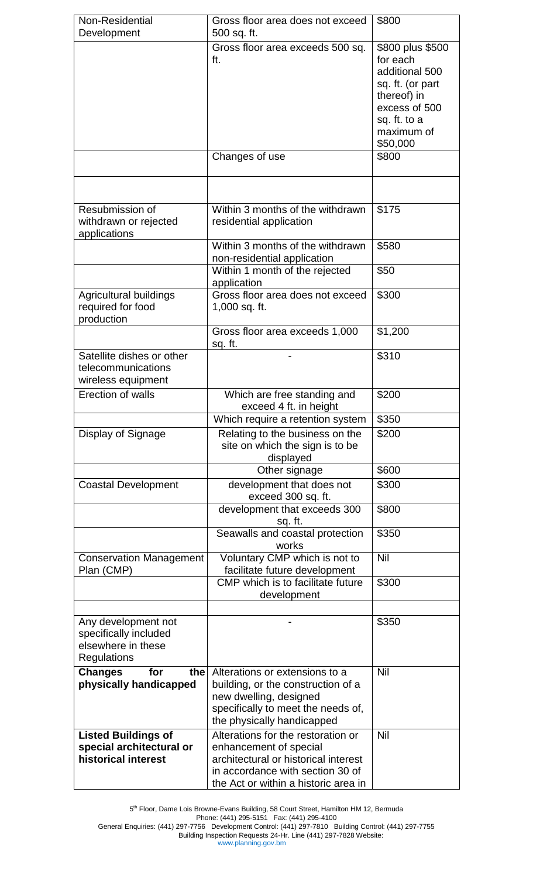| Non-Residential<br>Development                                                    | Gross floor area does not exceed<br>500 sq. ft.                                                                                                                                  | \$800                                                                                                                                        |
|-----------------------------------------------------------------------------------|----------------------------------------------------------------------------------------------------------------------------------------------------------------------------------|----------------------------------------------------------------------------------------------------------------------------------------------|
|                                                                                   | Gross floor area exceeds 500 sq.<br>ft.                                                                                                                                          | \$800 plus \$500<br>for each<br>additional 500<br>sq. ft. (or part<br>thereof) in<br>excess of 500<br>sq. ft. to a<br>maximum of<br>\$50,000 |
|                                                                                   | Changes of use                                                                                                                                                                   | \$800                                                                                                                                        |
| Resubmission of<br>withdrawn or rejected<br>applications                          | Within 3 months of the withdrawn<br>residential application                                                                                                                      | \$175                                                                                                                                        |
|                                                                                   | Within 3 months of the withdrawn<br>non-residential application                                                                                                                  | \$580                                                                                                                                        |
|                                                                                   | Within 1 month of the rejected<br>application                                                                                                                                    | \$50                                                                                                                                         |
| Agricultural buildings<br>required for food<br>production                         | Gross floor area does not exceed<br>1,000 sq. ft.                                                                                                                                | \$300                                                                                                                                        |
|                                                                                   | Gross floor area exceeds 1,000<br>sq. ft.                                                                                                                                        | \$1,200                                                                                                                                      |
| Satellite dishes or other<br>telecommunications<br>wireless equipment             |                                                                                                                                                                                  | \$310                                                                                                                                        |
| Erection of walls                                                                 | Which are free standing and<br>exceed 4 ft. in height                                                                                                                            | \$200                                                                                                                                        |
|                                                                                   | Which require a retention system                                                                                                                                                 | \$350                                                                                                                                        |
| Display of Signage                                                                | Relating to the business on the<br>site on which the sign is to be<br>displayed                                                                                                  | \$200                                                                                                                                        |
|                                                                                   | Other signage                                                                                                                                                                    | \$600                                                                                                                                        |
| <b>Coastal Development</b>                                                        | development that does not<br>exceed 300 sq. ft.                                                                                                                                  | \$300                                                                                                                                        |
|                                                                                   | development that exceeds 300<br>sq. ft.                                                                                                                                          | \$800                                                                                                                                        |
|                                                                                   | Seawalls and coastal protection<br>works                                                                                                                                         | \$350                                                                                                                                        |
| <b>Conservation Management</b><br>Plan (CMP)                                      | Voluntary CMP which is not to<br>facilitate future development                                                                                                                   | Nil                                                                                                                                          |
|                                                                                   | CMP which is to facilitate future<br>development                                                                                                                                 | \$300                                                                                                                                        |
| Any development not<br>specifically included<br>elsewhere in these<br>Regulations |                                                                                                                                                                                  | \$350                                                                                                                                        |
| <b>Changes</b><br>for<br>the<br>physically handicapped                            | Alterations or extensions to a<br>building, or the construction of a<br>new dwelling, designed<br>specifically to meet the needs of,<br>the physically handicapped               | Nil                                                                                                                                          |
| <b>Listed Buildings of</b><br>special architectural or<br>historical interest     | Alterations for the restoration or<br>enhancement of special<br>architectural or historical interest<br>in accordance with section 30 of<br>the Act or within a historic area in | Nil                                                                                                                                          |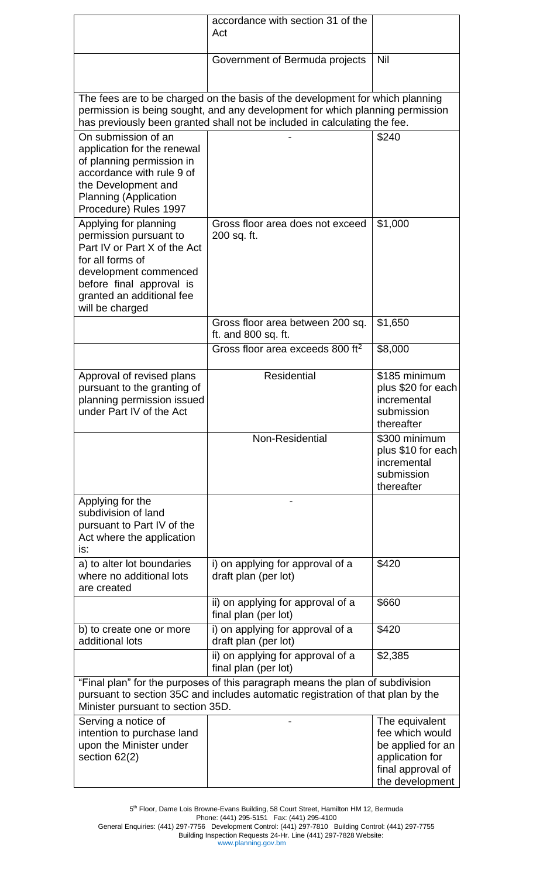|                                                                                                                                                                                                                                             | accordance with section 31 of the<br>Act                  |                                                                                                                   |
|---------------------------------------------------------------------------------------------------------------------------------------------------------------------------------------------------------------------------------------------|-----------------------------------------------------------|-------------------------------------------------------------------------------------------------------------------|
|                                                                                                                                                                                                                                             | Government of Bermuda projects                            | Nil                                                                                                               |
| The fees are to be charged on the basis of the development for which planning<br>permission is being sought, and any development for which planning permission<br>has previously been granted shall not be included in calculating the fee. |                                                           |                                                                                                                   |
| On submission of an<br>application for the renewal<br>of planning permission in<br>accordance with rule 9 of<br>the Development and<br><b>Planning (Application</b><br>Procedure) Rules 1997                                                |                                                           | \$240                                                                                                             |
| Applying for planning<br>permission pursuant to<br>Part IV or Part X of the Act<br>for all forms of<br>development commenced<br>before final approval is<br>granted an additional fee<br>will be charged                                    | Gross floor area does not exceed<br>200 sq. ft.           | \$1,000                                                                                                           |
|                                                                                                                                                                                                                                             | Gross floor area between 200 sq.<br>ft. and 800 sq. ft.   | \$1,650                                                                                                           |
|                                                                                                                                                                                                                                             | Gross floor area exceeds 800 ft <sup>2</sup>              | \$8,000                                                                                                           |
| Approval of revised plans<br>pursuant to the granting of<br>planning permission issued<br>under Part IV of the Act                                                                                                                          | <b>Residential</b>                                        | \$185 minimum<br>plus \$20 for each<br>incremental<br>submission<br>thereafter                                    |
|                                                                                                                                                                                                                                             | Non-Residential                                           | \$300 minimum<br>plus \$10 for each<br>incremental<br>submission<br>thereafter                                    |
| Applying for the<br>subdivision of land<br>pursuant to Part IV of the<br>Act where the application<br>is:                                                                                                                                   |                                                           |                                                                                                                   |
| a) to alter lot boundaries<br>where no additional lots<br>are created                                                                                                                                                                       | i) on applying for approval of a<br>draft plan (per lot)  | \$420                                                                                                             |
|                                                                                                                                                                                                                                             | ii) on applying for approval of a<br>final plan (per lot) | \$660                                                                                                             |
| b) to create one or more<br>additional lots                                                                                                                                                                                                 | i) on applying for approval of a<br>draft plan (per lot)  | \$420                                                                                                             |
|                                                                                                                                                                                                                                             | ii) on applying for approval of a<br>final plan (per lot) | \$2,385                                                                                                           |
| "Final plan" for the purposes of this paragraph means the plan of subdivision<br>pursuant to section 35C and includes automatic registration of that plan by the<br>Minister pursuant to section 35D.                                       |                                                           |                                                                                                                   |
| Serving a notice of<br>intention to purchase land<br>upon the Minister under<br>section 62(2)                                                                                                                                               |                                                           | The equivalent<br>fee which would<br>be applied for an<br>application for<br>final approval of<br>the development |

5<sup>th</sup> Floor, Dame Lois Browne-Evans Building, 58 Court Street, Hamilton HM 12, Bermuda Phone: (441) 295-5151 Fax: (441) 295-4100 General Enquiries: (441) 297-7756 Development Control: (441) 297-7810 Building Control: (441) 297-7755 Building Inspection Requests 24-Hr. Line (441) 297-7828 Website: www.planning.gov.bm